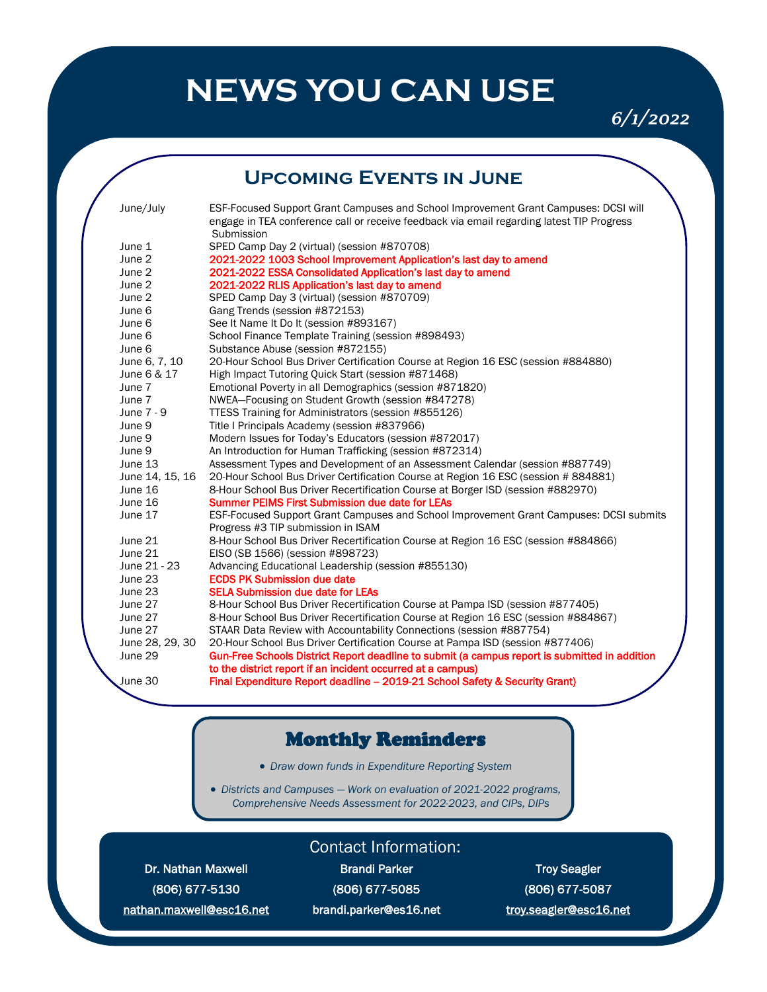# **NEWS YOU CAN USE**

*6/1/2022* 

### **Upcoming Events in June**

| June/July       | ESF-Focused Support Grant Campuses and School Improvement Grant Campuses: DCSI will           |
|-----------------|-----------------------------------------------------------------------------------------------|
|                 | engage in TEA conference call or receive feedback via email regarding latest TIP Progress     |
|                 | Submission                                                                                    |
| June 1          | SPED Camp Day 2 (virtual) (session #870708)                                                   |
| June 2          | 2021-2022 1003 School Improvement Application's last day to amend                             |
| June 2          | 2021-2022 ESSA Consolidated Application's last day to amend                                   |
| June 2          | 2021-2022 RLIS Application's last day to amend                                                |
| June 2          | SPED Camp Day 3 (virtual) (session #870709)                                                   |
| June 6          | Gang Trends (session #872153)                                                                 |
| June 6          | See It Name It Do It (session #893167)                                                        |
| June 6          | School Finance Template Training (session #898493)                                            |
| June 6          | Substance Abuse (session #872155)                                                             |
| June 6, 7, 10   | 20-Hour School Bus Driver Certification Course at Region 16 ESC (session #884880)             |
| June 6 & 17     | High Impact Tutoring Quick Start (session #871468)                                            |
| June 7          | Emotional Poverty in all Demographics (session #871820)                                       |
| June 7          | NWEA-Focusing on Student Growth (session #847278)                                             |
| June 7 - 9      | TTESS Training for Administrators (session #855126)                                           |
| June 9          | Title I Principals Academy (session #837966)                                                  |
| June 9          | Modern Issues for Today's Educators (session #872017)                                         |
| June 9          | An Introduction for Human Trafficking (session #872314)                                       |
| June 13         | Assessment Types and Development of an Assessment Calendar (session #887749)                  |
| June 14, 15, 16 | 20-Hour School Bus Driver Certification Course at Region 16 ESC (session # 884881)            |
| June 16         | 8-Hour School Bus Driver Recertification Course at Borger ISD (session #882970)               |
| June 16         | <b>Summer PEIMS First Submission due date for LEAs</b>                                        |
| June 17         | ESF-Focused Support Grant Campuses and School Improvement Grant Campuses: DCSI submits        |
|                 | Progress #3 TIP submission in ISAM                                                            |
| June 21         | 8-Hour School Bus Driver Recertification Course at Region 16 ESC (session #884866)            |
| June 21         | EISO (SB 1566) (session #898723)                                                              |
| June 21 - 23    | Advancing Educational Leadership (session #855130)                                            |
| June 23         | <b>ECDS PK Submission due date</b>                                                            |
| June 23         | <b>SELA Submission due date for LEAs</b>                                                      |
| June 27         | 8-Hour School Bus Driver Recertification Course at Pampa ISD (session #877405)                |
| June 27         | 8-Hour School Bus Driver Recertification Course at Region 16 ESC (session #884867)            |
| June 27         | STAAR Data Review with Accountability Connections (session #887754)                           |
| June 28, 29, 30 | 20-Hour School Bus Driver Certification Course at Pampa ISD (session #877406)                 |
| June 29         | Gun-Free Schools District Report deadline to submit (a campus report is submitted in addition |
|                 | to the district report if an incident occurred at a campus)                                   |
| June 30         | Final Expenditure Report deadline - 2019-21 School Safety & Security Grant)                   |

### Monthly Reminders

• *Draw down funds in Expenditure Reporting System*

• *Districts and Campuses — Work on evaluation of 2021-2022 programs, Comprehensive Needs Assessment for 2022-2023, and CIPs, DIPs* 

Dr. Nathan Maxwell **Brandi Parker Troy Seagler** Brandi Parker Troy Seagler nathan.maxwell@esc16.net brandi.parker@es16.net troy.seagler@esc16.net

#### Contact Information:

(806) 677-5130 (806) 677-5085 (806) 677-5087